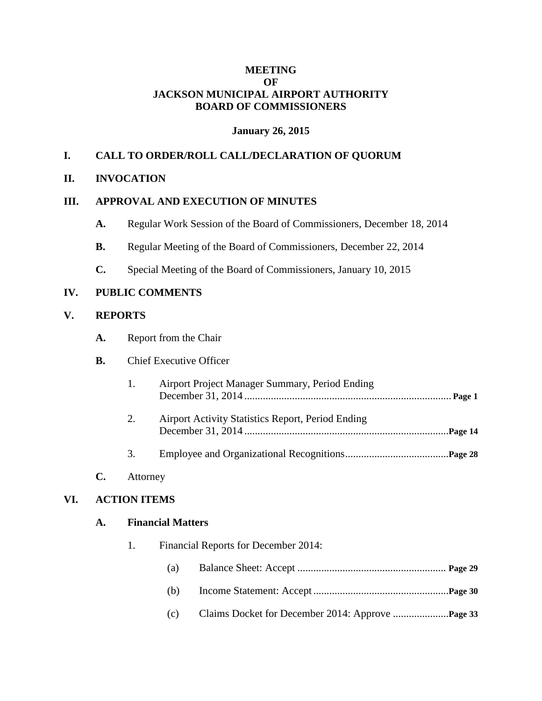#### **MEETING OF JACKSON MUNICIPAL AIRPORT AUTHORITY BOARD OF COMMISSIONERS**

#### **January 26, 2015**

# **I. CALL TO ORDER/ROLL CALL/DECLARATION OF QUORUM**

## **II. INVOCATION**

#### **III. APPROVAL AND EXECUTION OF MINUTES**

- **A.** Regular Work Session of the Board of Commissioners, December 18, 2014
- **B.** Regular Meeting of the Board of Commissioners, December 22, 2014
- **C.** Special Meeting of the Board of Commissioners, January 10, 2015

## **IV. PUBLIC COMMENTS**

#### **V. REPORTS**

**A.** Report from the Chair

#### **B.** Chief Executive Officer

- 1. Airport Project Manager Summary, Period Ending December 31, 2014 .............................................................................. **Page 1** 2. Airport Activity Statistics Report, Period Ending December 31, 2014 .............................................................................**Page 14**
- 3. Employee and Organizational Recognitions.......................................**Page 28**

#### **C.** Attorney

## **VI. ACTION ITEMS**

#### **A. Financial Matters**

- 1. Financial Reports for December 2014:
	- (a) Balance Sheet: Accept ........................................................ **Page 29**
	- (b) Income Statement: Accept ...................................................**Page 30**
	- (c) Claims Docket for December 2014: Approve .....................**Page 33**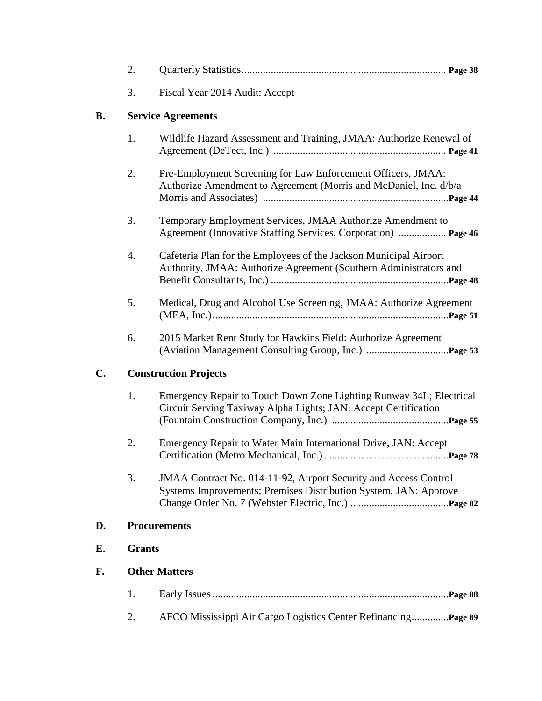|           | 2.                           |                                                                                                                                        |  |
|-----------|------------------------------|----------------------------------------------------------------------------------------------------------------------------------------|--|
|           | 3.                           | Fiscal Year 2014 Audit: Accept                                                                                                         |  |
| <b>B.</b> | <b>Service Agreements</b>    |                                                                                                                                        |  |
|           | 1.                           | Wildlife Hazard Assessment and Training, JMAA: Authorize Renewal of                                                                    |  |
|           | 2.                           | Pre-Employment Screening for Law Enforcement Officers, JMAA:<br>Authorize Amendment to Agreement (Morris and McDaniel, Inc. d/b/a      |  |
|           | 3.                           | Temporary Employment Services, JMAA Authorize Amendment to<br>Agreement (Innovative Staffing Services, Corporation)  Page 46           |  |
|           | 4.                           | Cafeteria Plan for the Employees of the Jackson Municipal Airport<br>Authority, JMAA: Authorize Agreement (Southern Administrators and |  |
|           | 5.                           | Medical, Drug and Alcohol Use Screening, JMAA: Authorize Agreement                                                                     |  |
|           | 6.                           | 2015 Market Rent Study for Hawkins Field: Authorize Agreement                                                                          |  |
| C.        | <b>Construction Projects</b> |                                                                                                                                        |  |
|           | 1.                           | Emergency Repair to Touch Down Zone Lighting Runway 34L; Electrical<br>Circuit Serving Taxiway Alpha Lights; JAN: Accept Certification |  |
|           | 2.                           | Emergency Repair to Water Main International Drive, JAN: Accept                                                                        |  |
|           | 3.                           | JMAA Contract No. 014-11-92, Airport Security and Access Control<br>Systems Improvements; Premises Distribution System, JAN: Approve   |  |
| D.        | <b>Procurements</b>          |                                                                                                                                        |  |
| Е.        | <b>Grants</b>                |                                                                                                                                        |  |
| F.        |                              | <b>Other Matters</b>                                                                                                                   |  |
|           | 1.                           |                                                                                                                                        |  |
|           | 2.                           | AFCO Mississippi Air Cargo Logistics Center Refinancing Page 89                                                                        |  |